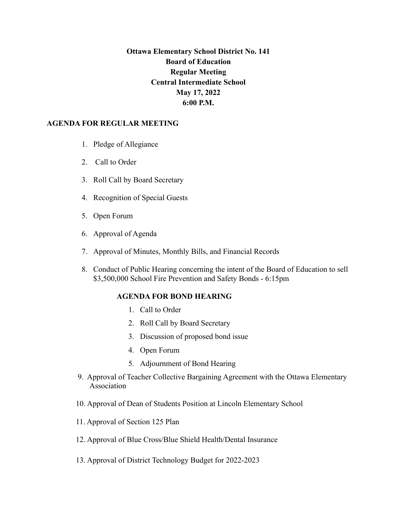## **Ottawa Elementary School District No. 141 Board of Education Regular Meeting Central Intermediate School May 17, 2022 6:00 P.M.**

## **AGENDA FOR REGULAR MEETING**

- 1. Pledge of Allegiance
- 2. Call to Order
- 3. Roll Call by Board Secretary
- 4. Recognition of Special Guests
- 5. Open Forum
- 6. Approval of Agenda
- 7. Approval of Minutes, Monthly Bills, and Financial Records
- 8. Conduct of Public Hearing concerning the intent of the Board of Education to sell \$3,500,000 School Fire Prevention and Safety Bonds - 6:15pm

## **AGENDA FOR BOND HEARING**

- 1. Call to Order
- 2. Roll Call by Board Secretary
- 3. Discussion of proposed bond issue
- 4. Open Forum
- 5. Adjournment of Bond Hearing
- 9. Approval of Teacher Collective Bargaining Agreement with the Ottawa Elementary Association
- 10. Approval of Dean of Students Position at Lincoln Elementary School
- 11. Approval of Section 125 Plan
- 12. Approval of Blue Cross/Blue Shield Health/Dental Insurance
- 13. Approval of District Technology Budget for 2022-2023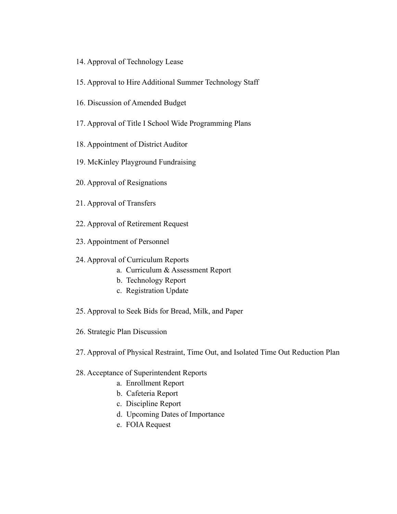- 14. Approval of Technology Lease
- 15. Approval to Hire Additional Summer Technology Staff
- 16. Discussion of Amended Budget
- 17. Approval of Title I School Wide Programming Plans
- 18. Appointment of District Auditor
- 19. McKinley Playground Fundraising
- 20. Approval of Resignations
- 21. Approval of Transfers
- 22. Approval of Retirement Request
- 23. Appointment of Personnel
- 24. Approval of Curriculum Reports
	- a. Curriculum & Assessment Report
	- b. Technology Report
	- c. Registration Update
- 25. Approval to Seek Bids for Bread, Milk, and Paper
- 26. Strategic Plan Discussion
- 27. Approval of Physical Restraint, Time Out, and Isolated Time Out Reduction Plan

## 28. Acceptance of Superintendent Reports

- a. Enrollment Report
- b. Cafeteria Report
- c. Discipline Report
- d. Upcoming Dates of Importance
- e. FOIA Request